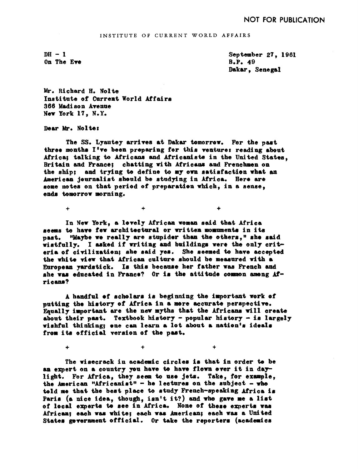INSTITUTE OF CURRENT WORLD AFFAIRS

 $DH - 1$ On The Eve

September 27, 1961 B.P. 49 Dakar, Senegal

Mr. Richard H. Nolte Institute of Current World Affairs 3 66 Madi son Avenue New York 17, N.Y.

+ /

Dear Mr. Nolte:

The SS. Lyautey arrives at Dakar tomorrow. For the past three months I've been preparing for this venture: reading about Africa; talking to Africans and Africanists in the United States, Britain and France: chatting with Africans and Frenchmen on the ship; and trying to define to my oma satisfaction what an neriean journalist should be studying in Africa. Here are some notes on that period of preparation which, in a sense, ends tomorrow morning.

 $\ddot{}$ 

In New York, a levely African woman said that Africa seems to have few architectural or written momuments in its past. "Maybe we really are stupider than the others," she said wistfully. I asked if writing and buildings were the only criteria of civilization; she said yes. She seemed to have accepted the white view that kfrioan culture should be measured with a European yardstick. Is this because her father was French and she was educated in France? Or is the attitude common among  $M^$ rieans?

A handful of scholars is beginning the important work ef putting the history of Africa in a mere accurate perspective. Equally important are the new myths that the Africans will create about their past. Textbook history - popular history - is largely wishful thinking; ene can learn a lot about a nation's ideals from its official version of the past.

The wisecrack in academic circles is that in order to be an expert on a country you have to have flown ever it in daylight. For Africa, they seem to use jets. Take, for example, the American "Africanist" - he lectures on the subject - who told me that the best place to study French-speaking Africa is Paris (a nice idea, though, isn't it?) and who gave me a list of local experts to see in Africa. None of these experts was African; each was white; each was American; each was a United States government official. Or take the reporters (academics

+ + +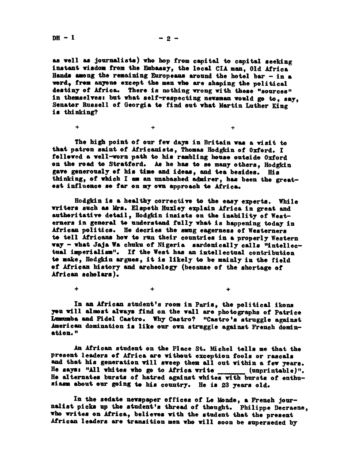as well as journalists) who hop from capital to capital seeking instant wisdom from the Embassy, the local CIA man, Old Africa Hands among the remaining Europeans around the hotel bar - in a word, from anyone except the men who are shaping the political destiny of Africa. There is nothing wrong with these "sources" in themselves: but what self-respecting newsman would go to, say, Senator Russell of Georgia to find out what Martin Luther King is thinking?

The high point of our few days in Britain was a visit to that patron saint of Africanists, Thomas Hodgkin of Oxford. I follewed a well-worn path to his rambling house outside Oxford on the road to Stratford. As he has to so many others, Hodgkin gave generously of his time and ideas, and tea besides. His thinking, of which I am an unabashed admirer, has been the greatest influence se far on my own approach to Africa.

 $\ddot{+}$ 

 $+$  /  $+$  /  $+$  /  $+$ 

Hodgkin is a healthy corrective to the easy experts. While writers such as Mrs. Elspeth Huxley explain Lfrica in great and autheritative detail, Hodgkin insists on the inability of Westerners in general to understand fully what is happening today in African politics. He decries the smug eagerness of Westerners to tell Africans how to run their countries in a properly Western way - what Jaja Wa chuku of Nigeria sardonically calls "intellectual imperialism". If the West has an intellectual contribution to make, Hodgkin argues, it is likely to be mainly in the field of African history and archeology (because of the shortage of African scholars).

In an African student's room in Paris, the political ikons you will almost always find on the wall are photographs of Patrice Lumumba and Fidel Castro. Why Castro? "Castro's struggle against American domination is like our own struggle against French domination."

 $+$  /  $+$  /  $+$  /  $+$  /  $+$ 

An African student on the Place St. Michel tells me that the present leaders of Africa are without exception fools or rascals and that his generation will sweep them all out within a few years. He says: "All whites who go to Africa write  $(unprintable)$ ". He alternates bursts of hatred against whites with bursts of enthusiasm about our going to his country. He is 23 years old.

In the sedate newspaper offices of Le Monde, a French journalist picks up the student's thread of thought. Philippe Deeraene, who writes on Africa, believes with the student that the present African leaders are transition men who will soon be superseded by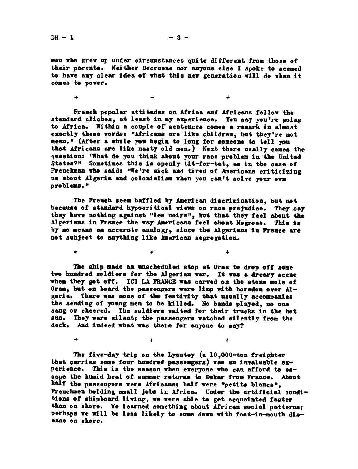men vhe grew up under circumstances quite different from those of their parents. Neither Decraene nor anyone else I spoke to seemed to have any clear idea of what this new generation will do when it comes to power.

 $\pm$  /  $\pm$  /  $\pm$  /  $\pm$  /  $\pm$  /  $\pm$  /  $\pm$ 

French popular attitudes on Africa and Africans follow the standard cliches, at least in my experience. You say you're going to Africa. Within a couple of sentences comes a remark in almost exactly these words: "Africans are like children, but they're not mean." (After a while you begin to long for someone to tell you that Africans are like nasty old men.) Next there usally comes the question: "What do you think about your race problem in the United States?" Sometimes this is openly tit-for-tat, as in the case of Frenchman who said: "We're sick and tired of Americans criticizing us about Algeria and colonialism when you can't solve your own problems."

The French seem baffled by American discrimination, bet not because of standard hypocritical views on race prejudice. They say they have nothing against "les noirs", but that they feel about the Algerians in France the way Americans feel about Negroes. This is by no means an accurate analogy, since the Algerians in France are not subject to anything like American segregation.

The ship made an unscheduled stop at Oran to drop off some two hundred, soldiers for the Algerian war. It was a dreary scene when they get off. ICI LA FRANCE was carved on the stone mole of  $0$ ran, but on beard the passengers were limp with boredom over  $Al$ geria. There was none of the festivity that usually accompanies the sending of young men to be ki lied. No bands played, no one sang or cheered. The soldiers waited for their trucks in the hot sun. They were silent; the passengers watched silently from the deck. And indeed what was there for anyone to say?

 $+$  /  $+$  /  $+$  /  $+$  /  $+$  /  $+$  /  $+$ 

 $+$  /  $+$  /  $+$  /  $+$  /  $+$ 

The five-day trip on the Lyautey (a 10,000-ton freighter that carries some four hundred passengers) was an invaluable experience. This is the season when everyone who can afford to escape the humid heat of summer returns to Dakar from France. About half the passengers were Africans; half were "petits blancs", Frenchmen holding small jobs in Africa. Under the artificial conditions of shipboard living, we were able to get acquainted faster than on shore. We learned something about African social patterns: perhaps we will be less likely to come down with foot-in-mouth disease on shore.